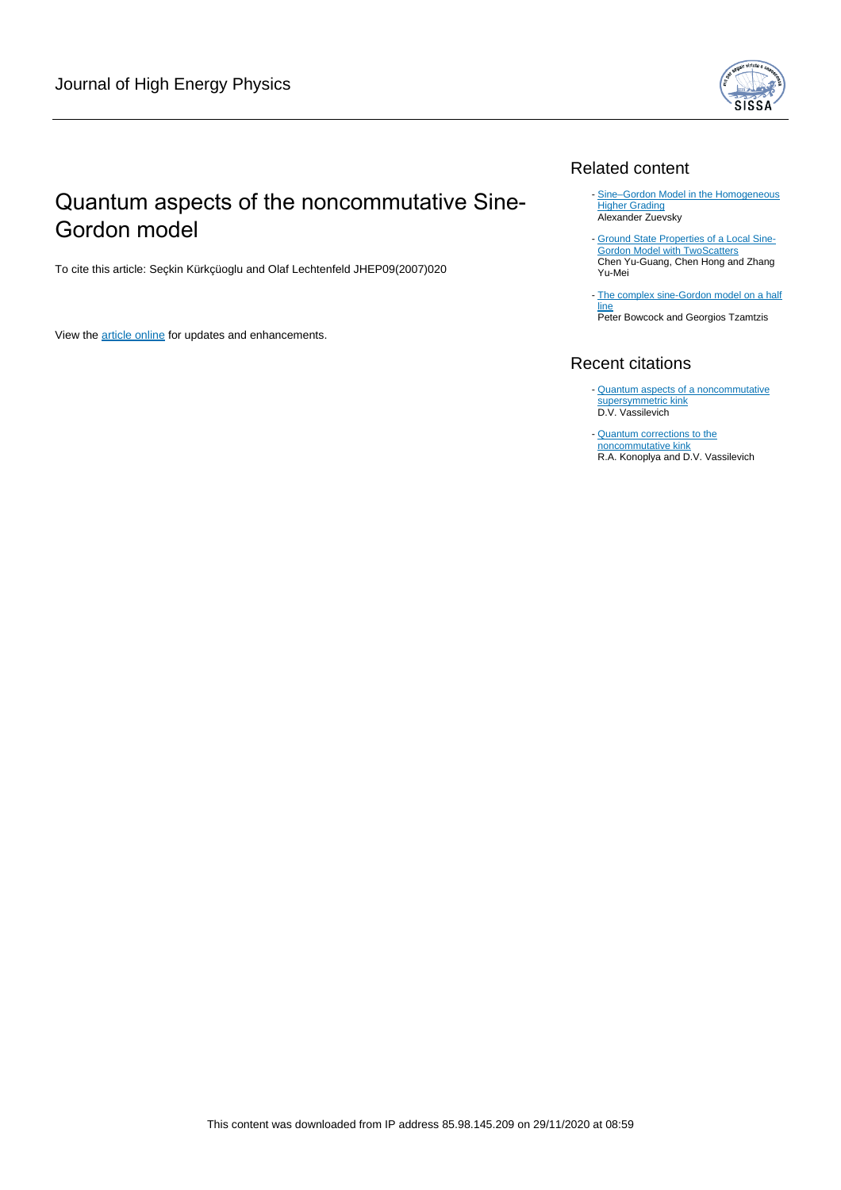

## Quantum aspects of the noncommutative Sine-Gordon model

To cite this article: Seçkin Kürkçüoglu and Olaf Lechtenfeld JHEP09(2007)020

View the [article online](https://doi.org/10.1088/1126-6708/2007/09/020) for updates and enhancements.

## Related content

- Sine-Gordon Model in the Homogeneous **[Higher Grading](/article/10.1088/1742-6596/807/11/112002)** Alexander Zuevsky
- [Ground State Properties of a Local Sine-](/article/10.1088/0256-307X/22/6/055)**[Gordon Model with TwoScatters](/article/10.1088/0256-307X/22/6/055)** Chen Yu-Guang, Chen Hong and Zhang Yu-Mei -
- [The complex sine-Gordon model on a half](/article/10.1088/1126-6708/2007/03/047) [line](/article/10.1088/1126-6708/2007/03/047) **Peter Bowcock and Georgios Tzamtzis**

## Recent citations

- **[Quantum aspects of a noncommutative](http://iopscience.iop.org/1126-6708/2008/05/093)** [supersymmetric kink](http://iopscience.iop.org/1126-6708/2008/05/093) D.V. Vassilevich
- [Quantum corrections to the](http://iopscience.iop.org/1126-6708/2008/01/068) [noncommutative kink](http://iopscience.iop.org/1126-6708/2008/01/068) R.A. Konoplya and D.V. Vassilevich -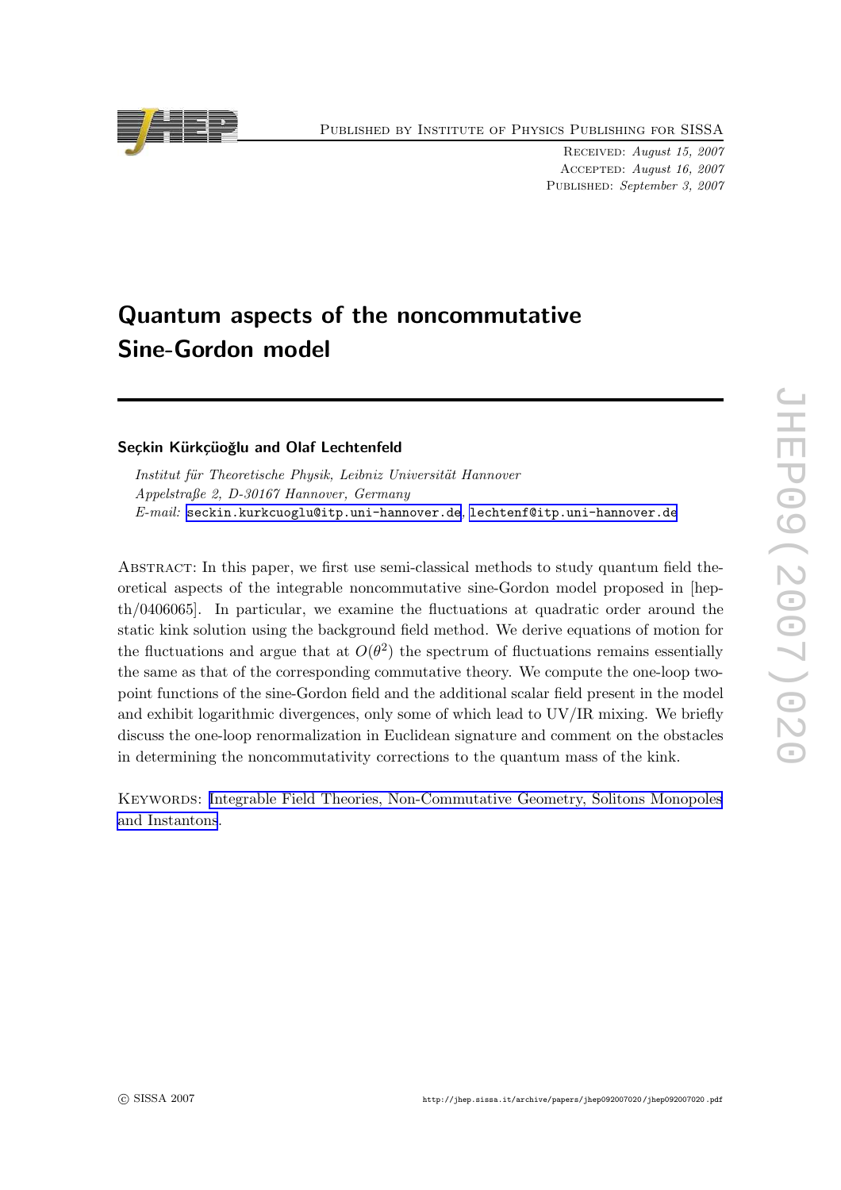Published by Institute of Physics Publishing for SISSA

Received: August 15, 2007 Accepted: August 16, 2007 Published: September 3, 2007

# Quantum aspects of the noncommutative Sine-Gordon model

## Seckin Kürkçüoğlu and Olaf Lechtenfeld

Institut für Theoretische Physik, Leibniz Universität Hannover Appelstraße 2, D-30167 Hannover, Germany  $E\text{-}mail: \texttt{seckin.kurkcuoglu@itp.uni-hannover.de}$  $E\text{-}mail: \texttt{seckin.kurkcuoglu@itp.uni-hannover.de}$  $E\text{-}mail: \texttt{seckin.kurkcuoglu@itp.uni-hannover.de}$ , [lechtenf@itp.uni-hannover.de](mailto:lechtenf@itp.uni-hannover.de)

Abstract: In this paper, we first use semi-classical methods to study quantum field theoretical aspects of the integrable noncommutative sine-Gordon model proposed in [hepth/0406065]. In particular, we examine the fluctuations at quadratic order around the static kink solution using the background field method. We derive equations of motion for the fluctuations and argue that at  $O(\theta^2)$  the spectrum of fluctuations remains essentially the same as that of the corresponding commutative theory. We compute the one-loop twopoint functions of the sine-Gordon field and the additional scalar field present in the model and exhibit logarithmic divergences, only some of which lead to UV/IR mixing. We briefly discuss the one-loop renormalization in Euclidean signature and comment on the obstacles in determining the noncommutativity corrections to the quantum mass of the kink.

Keywords: [Integrable Field Theories, Non-Commutative Geometry, Solitons Monopoles](http://jhep.sissa.it/stdsearch) [and Instantons](http://jhep.sissa.it/stdsearch).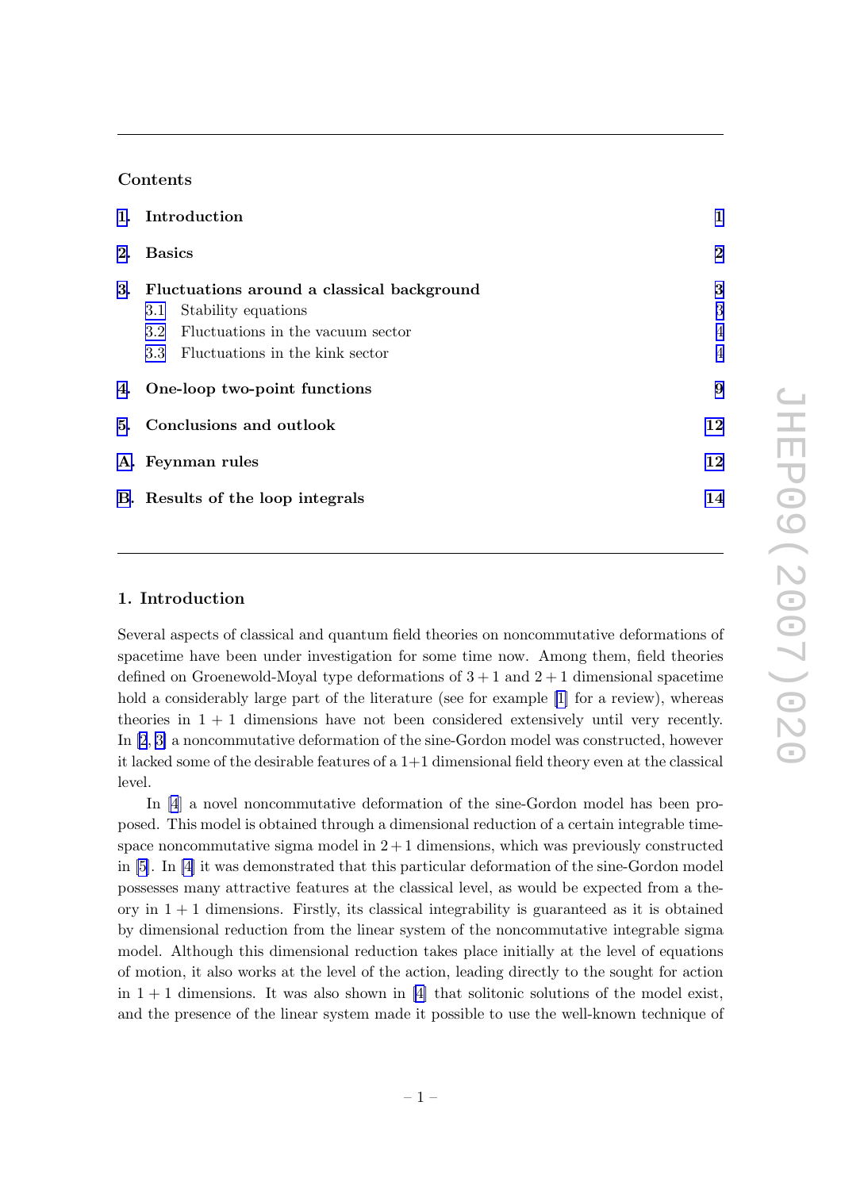## Contents

| 1. Introduction                               | 1              |
|-----------------------------------------------|----------------|
| 2. Basics                                     | $\bf{2}$       |
| 3. Fluctuations around a classical background | 3              |
| Stability equations<br>3.1                    | 3              |
| 3.2 Fluctuations in the vacuum sector         | $\overline{4}$ |
| 3.3 Fluctuations in the kink sector           | $\overline{4}$ |
| 4. One-loop two-point functions               | 9              |
| 5. Conclusions and outlook                    | 12             |
| A. Feynman rules                              | 12             |
| B. Results of the loop integrals              | 14             |

## 1. Introduction

Several aspects of classical and quantum field theories on noncommutative deformations of spacetime have been under investigation for some time now. Among them, field theories defined on Groenewold-Moyal type deformations of  $3+1$  and  $2+1$  dimensional spacetime hold a considerably large part of the literature (see for example [\[1\]](#page-15-0) for a review), whereas theories in  $1 + 1$  dimensions have not been considered extensively until very recently. In [\[2](#page-15-0), [3\]](#page-15-0) a noncommutative deformation of the sine-Gordon model was constructed, however it lacked some of the desirable features of a 1+1 dimensional field theory even at the classical level.

In [\[4](#page-15-0)] a novel noncommutative deformation of the sine-Gordon model has been proposed. This model is obtained through a dimensional reduction of a certain integrable timespace noncommutative sigma model in  $2+1$  dimensions, which was previously constructed in [\[5\]](#page-15-0). In [\[4\]](#page-15-0) it was demonstrated that this particular deformation of the sine-Gordon model possesses many attractive features at the classical level, as would be expected from a theory in  $1 + 1$  dimensions. Firstly, its classical integrability is guaranteed as it is obtained by dimensional reduction from the linear system of the noncommutative integrable sigma model. Although this dimensional reduction takes place initially at the level of equations of motion, it also works at the level of the action, leading directly to the sought for action in  $1 + 1$  dimensions. It was also shown in [\[4\]](#page-15-0) that solitonic solutions of the model exist, and the presence of the linear system made it possible to use the well-known technique of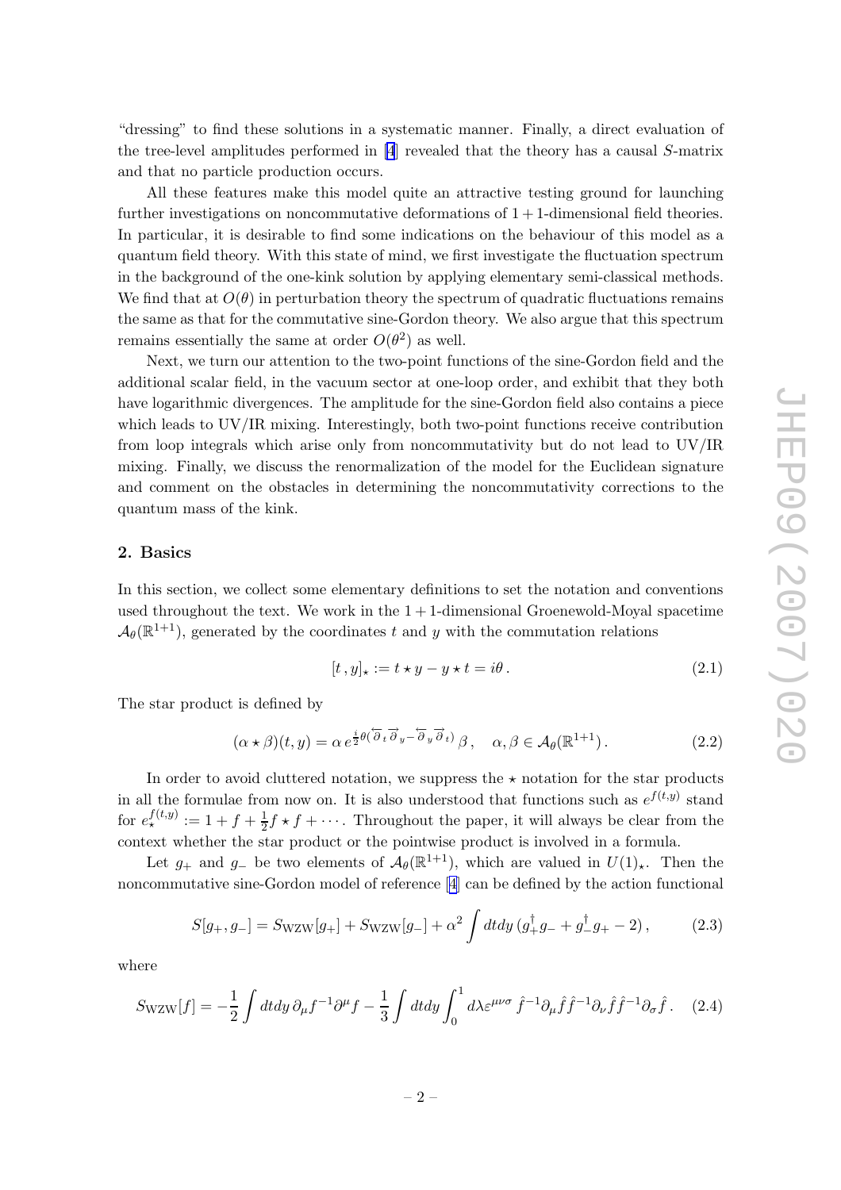<span id="page-3-0"></span>"dressing" to find these solutions in a systematic manner. Finally, a direct evaluation of the tree-level amplitudes performed in [\[4](#page-15-0)] revealed that the theory has a causal S-matrix and that no particle production occurs.

All these features make this model quite an attractive testing ground for launching further investigations on noncommutative deformations of  $1+1$ -dimensional field theories. In particular, it is desirable to find some indications on the behaviour of this model as a quantum field theory. With this state of mind, we first investigate the fluctuation spectrum in the background of the one-kink solution by applying elementary semi-classical methods. We find that at  $O(\theta)$  in perturbation theory the spectrum of quadratic fluctuations remains the same as that for the commutative sine-Gordon theory. We also argue that this spectrum remains essentially the same at order  $O(\theta^2)$  as well.

Next, we turn our attention to the two-point functions of the sine-Gordon field and the additional scalar field, in the vacuum sector at one-loop order, and exhibit that they both have logarithmic divergences. The amplitude for the sine-Gordon field also contains a piece which leads to UV/IR mixing. Interestingly, both two-point functions receive contribution from loop integrals which arise only from noncommutativity but do not lead to UV/IR mixing. Finally, we discuss the renormalization of the model for the Euclidean signature and comment on the obstacles in determining the noncommutativity corrections to the quantum mass of the kink.

## 2. Basics

In this section, we collect some elementary definitions to set the notation and conventions used throughout the text. We work in the  $1 + 1$ -dimensional Groenewold-Moyal spacetime  $\mathcal{A}_{\theta}(\mathbb{R}^{1+1})$ , generated by the coordinates t and y with the commutation relations

$$
[t, y]_\star := t \star y - y \star t = i\theta. \tag{2.1}
$$

The star product is defined by

$$
(\alpha \star \beta)(t, y) = \alpha e^{\frac{i}{2}\theta(\overleftarrow{\partial}_t \overrightarrow{\partial}_y - \overleftarrow{\partial}_y \overrightarrow{\partial}_t)} \beta, \quad \alpha, \beta \in \mathcal{A}_{\theta}(\mathbb{R}^{1+1}).
$$
 (2.2)

In order to avoid cluttered notation, we suppress the  $\star$  notation for the star products in all the formulae from now on. It is also understood that functions such as  $e^{f(t,y)}$  stand for  $e_{\star}^{f(t,y)} := 1 + f + \frac{1}{2}f \star f + \cdots$ . Throughout the paper, it will always be clear from the context whether the star product or the pointwise product is involved in a formula.

Let  $g_+$  and  $g_-$  be two elements of  $\mathcal{A}_{\theta}(\mathbb{R}^{1+1})$ , which are valued in  $U(1)_{\star}$ . Then the noncommutative sine-Gordon model of reference[[4](#page-15-0)] can be defined by the action functional

$$
S[g_+, g_-] = S_{\text{WZW}}[g_+] + S_{\text{WZW}}[g_-] + \alpha^2 \int dt dy \left(g_+^{\dagger} g_- + g_-^{\dagger} g_+ - 2\right),\tag{2.3}
$$

where

$$
S_{\text{WZW}}[f] = -\frac{1}{2} \int dt dy \,\partial_{\mu} f^{-1} \partial^{\mu} f - \frac{1}{3} \int dt dy \int_0^1 d\lambda \varepsilon^{\mu\nu\sigma} \,\hat{f}^{-1} \partial_{\mu} \hat{f} \hat{f}^{-1} \partial_{\nu} \hat{f} \hat{f}^{-1} \partial_{\sigma} \hat{f}.
$$
 (2.4)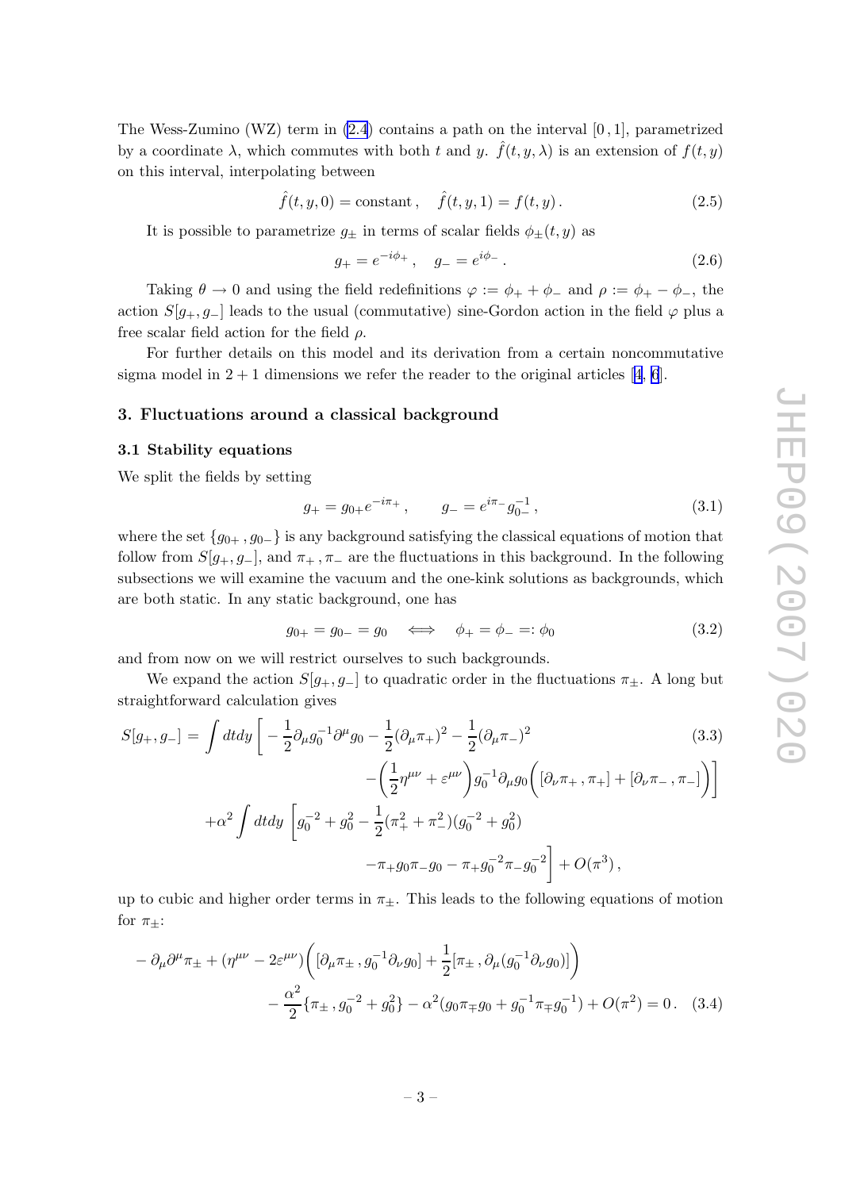<span id="page-4-0"></span>The Wess-Zumino (WZ) term in [\(2.4](#page-3-0)) contains a path on the interval [0 , 1], parametrized by a coordinate  $\lambda$ , which commutes with both t and y.  $\hat{f}(t, y, \lambda)$  is an extension of  $f(t, y)$ on this interval, interpolating between

$$
\hat{f}(t, y, 0) = \text{constant}, \quad \hat{f}(t, y, 1) = f(t, y).
$$
 (2.5)

It is possible to parametrize  $g_{\pm}$  in terms of scalar fields  $\phi_{\pm}(t, y)$  as

$$
g_{+} = e^{-i\phi_{+}} \,, \quad g_{-} = e^{i\phi_{-}} \,. \tag{2.6}
$$

Taking  $\theta \to 0$  and using the field redefinitions  $\varphi := \phi_+ + \phi_-$  and  $\rho := \phi_+ - \phi_-,$  the action  $S[g_+, g_-]$  leads to the usual (commutative) sine-Gordon action in the field  $\varphi$  plus a free scalar field action for the field  $\rho$ .

For further details on this model and its derivation from a certain noncommutative sigmamodel in  $2 + 1$  dimensions we refer the reader to the original articles [[4](#page-15-0), [6](#page-15-0)].

#### 3. Fluctuations around a classical background

#### 3.1 Stability equations

We split the fields by setting

$$
g_{+} = g_{0+}e^{-i\pi_{+}}, \qquad g_{-} = e^{i\pi_{-}}g_{0-}^{-1}, \qquad (3.1)
$$

where the set  $\{g_{0+}, g_{0-}\}\$  is any background satisfying the classical equations of motion that follow from  $S[g_+,g_-]$ , and  $\pi_+$ ,  $\pi_-$  are the fluctuations in this background. In the following subsections we will examine the vacuum and the one-kink solutions as backgrounds, which are both static. In any static background, one has

$$
g_{0+} = g_{0-} = g_0 \iff \phi_+ = \phi_- =: \phi_0 \tag{3.2}
$$

and from now on we will restrict ourselves to such backgrounds.

We expand the action  $S[g_+, g_-]$  to quadratic order in the fluctuations  $\pi_{\pm}$ . A long but straightforward calculation gives

$$
S[g_+, g_-] = \int dt dy \left[ -\frac{1}{2} \partial_\mu g_0^{-1} \partial^\mu g_0 - \frac{1}{2} (\partial_\mu \pi_+)^2 - \frac{1}{2} (\partial_\mu \pi_-)^2 - \left( \frac{1}{2} \eta^{\mu\nu} + \varepsilon^{\mu\nu} \right) g_0^{-1} \partial_\mu g_0 \left( [\partial_\nu \pi_+, \pi_+] + [\partial_\nu \pi_-, \pi_-] \right) \right]
$$
  
 
$$
+ \alpha^2 \int dt dy \left[ g_0^{-2} + g_0^2 - \frac{1}{2} (\pi_+^2 + \pi_-^2) (g_0^{-2} + g_0^2) - \pi_+ g_0 \pi_- g_0 - \pi_+ g_0^{-2} \pi_- g_0^{-2} \right] + O(\pi^3), \tag{3.3}
$$

up to cubic and higher order terms in  $\pi_{\pm}$ . This leads to the following equations of motion for  $\pi_{\pm}$ :

$$
- \partial_{\mu} \partial^{\mu} \pi_{\pm} + (\eta^{\mu\nu} - 2\varepsilon^{\mu\nu}) \left( [\partial_{\mu} \pi_{\pm}, g_0^{-1} \partial_{\nu} g_0] + \frac{1}{2} [\pi_{\pm}, \partial_{\mu} (g_0^{-1} \partial_{\nu} g_0)] \right) - \frac{\alpha^2}{2} \{ \pi_{\pm}, g_0^{-2} + g_0^2 \} - \alpha^2 (g_0 \pi_{\mp} g_0 + g_0^{-1} \pi_{\mp} g_0^{-1}) + O(\pi^2) = 0. \quad (3.4)
$$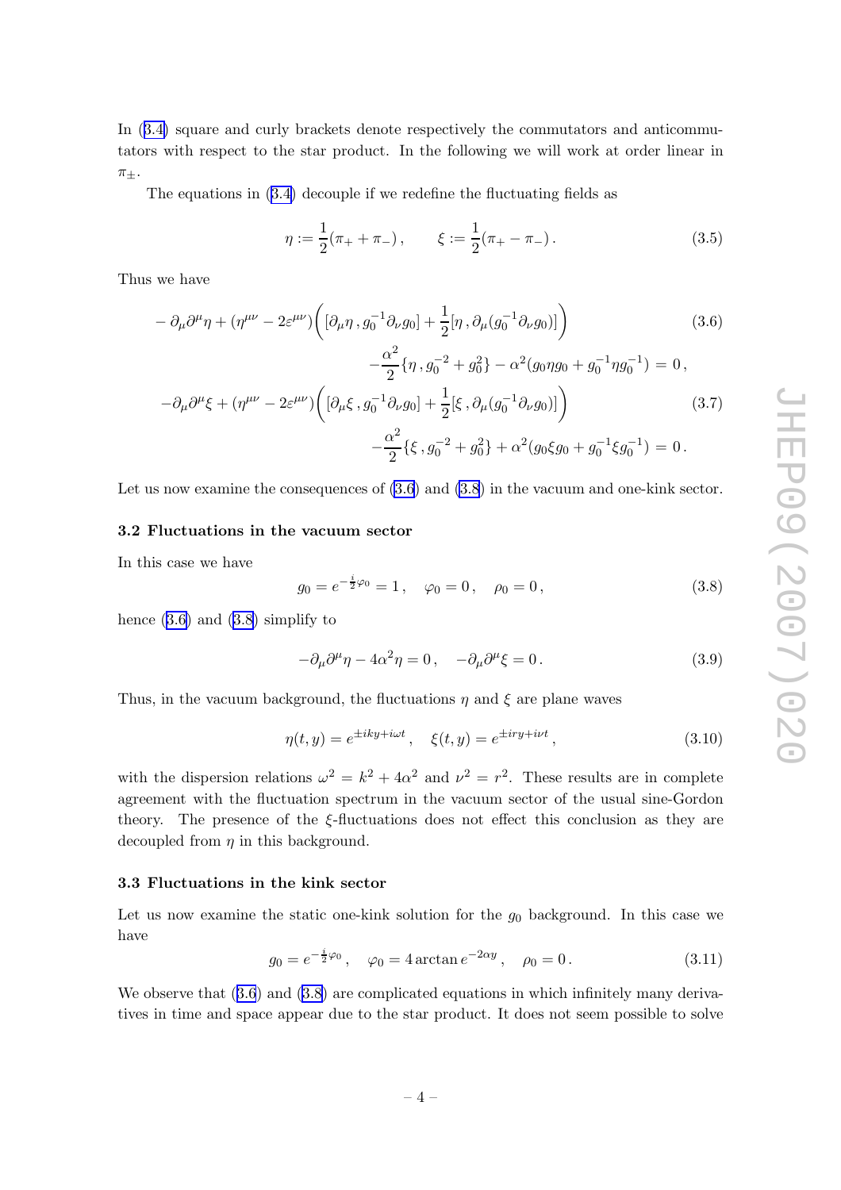<span id="page-5-0"></span>In ([3.4\)](#page-4-0) square and curly brackets denote respectively the commutators and anticommutators with respect to the star product. In the following we will work at order linear in  $\pi_{\pm}$ .

The equations in ([3.4\)](#page-4-0) decouple if we redefine the fluctuating fields as

$$
\eta := \frac{1}{2}(\pi_+ + \pi_-), \qquad \xi := \frac{1}{2}(\pi_+ - \pi_-). \tag{3.5}
$$

Thus we have

$$
- \partial_{\mu}\partial^{\mu}\eta + (\eta^{\mu\nu} - 2\varepsilon^{\mu\nu}) \left( [\partial_{\mu}\eta, g_0^{-1}\partial_{\nu}g_0] + \frac{1}{2} [\eta, \partial_{\mu}(g_0^{-1}\partial_{\nu}g_0)] \right) \tag{3.6}
$$
  

$$
- \frac{\alpha^2}{2} \{\eta, g_0^{-2} + g_0^2\} - \alpha^2 (g_0 \eta g_0 + g_0^{-1} \eta g_0^{-1}) = 0,
$$
  

$$
- \partial_{\mu}\partial^{\mu}\xi + (\eta^{\mu\nu} - 2\varepsilon^{\mu\nu}) \left( [\partial_{\mu}\xi, g_0^{-1}\partial_{\nu}g_0] + \frac{1}{2} [\xi, \partial_{\mu}(g_0^{-1}\partial_{\nu}g_0)] \right) \tag{3.7}
$$
  

$$
- \frac{\alpha^2}{2} \{\xi, g_0^{-2} + g_0^2\} + \alpha^2 (g_0 \xi g_0 + g_0^{-1} \xi g_0^{-1}) = 0.
$$

Let us now examine the consequences of  $(3.6)$  and  $(3.8)$  in the vacuum and one-kink sector.

#### 3.2 Fluctuations in the vacuum sector

In this case we have

$$
g_0 = e^{-\frac{i}{2}\varphi_0} = 1, \quad \varphi_0 = 0, \quad \rho_0 = 0,
$$
\n(3.8)

hence  $(3.6)$  and  $(3.8)$  simplify to

$$
-\partial_{\mu}\partial^{\mu}\eta - 4\alpha^{2}\eta = 0, \quad -\partial_{\mu}\partial^{\mu}\xi = 0.
$$
 (3.9)

Thus, in the vacuum background, the fluctuations  $\eta$  and  $\xi$  are plane waves

$$
\eta(t,y) = e^{\pm iky+i\omega t}, \quad \xi(t,y) = e^{\pm iry+i\nu t}, \tag{3.10}
$$

with the dispersion relations  $\omega^2 = k^2 + 4\alpha^2$  and  $\nu^2 = r^2$ . These results are in complete agreement with the fluctuation spectrum in the vacuum sector of the usual sine-Gordon theory. The presence of the ξ-fluctuations does not effect this conclusion as they are decoupled from  $\eta$  in this background.

#### 3.3 Fluctuations in the kink sector

Let us now examine the static one-kink solution for the  $g_0$  background. In this case we have

$$
g_0 = e^{-\frac{i}{2}\varphi_0}
$$
,  $\varphi_0 = 4 \arctan e^{-2\alpha y}$ ,  $\rho_0 = 0$ . (3.11)

We observe that  $(3.6)$  and  $(3.8)$  are complicated equations in which infinitely many derivatives in time and space appear due to the star product. It does not seem possible to solve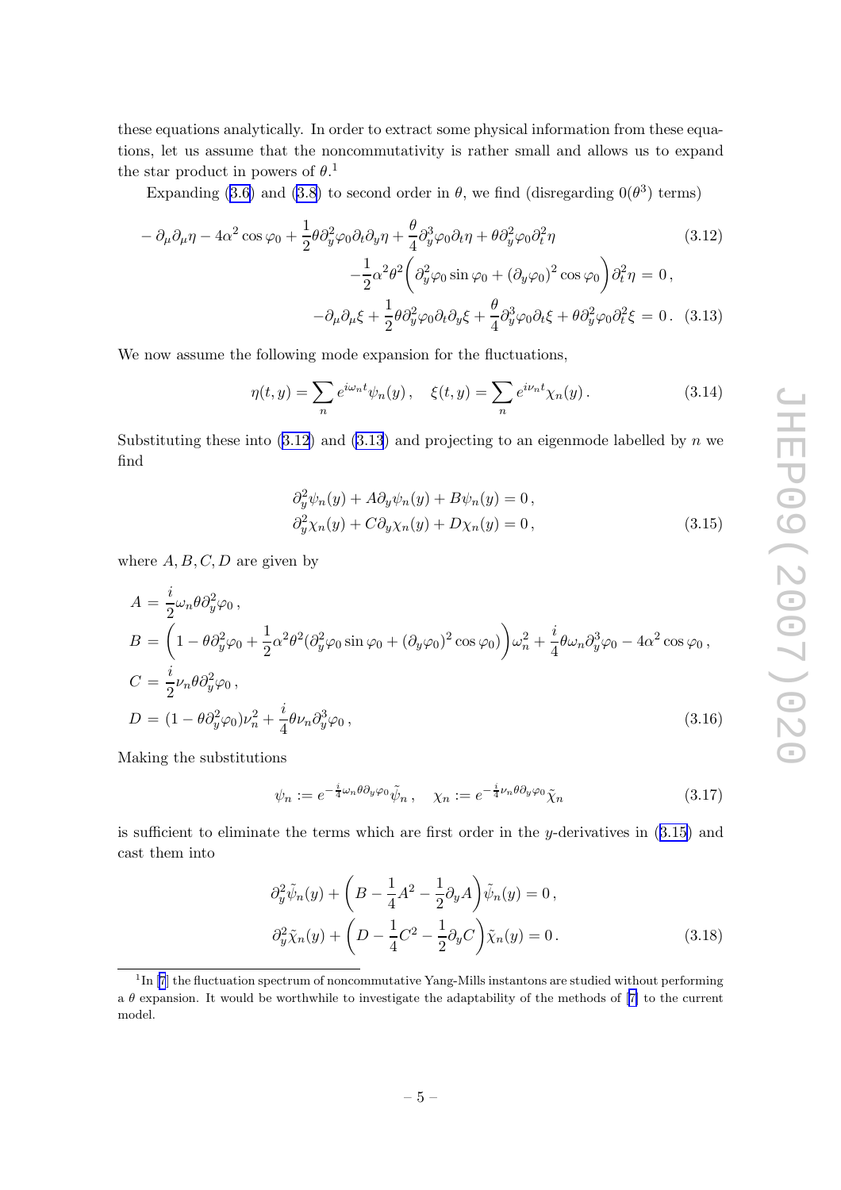<span id="page-6-0"></span>these equations analytically. In order to extract some physical information from these equations, let us assume that the noncommutativity is rather small and allows us to expand the star product in powers of  $\theta$ <sup>1</sup>.

Expanding ([3.6\)](#page-5-0) and [\(3.8\)](#page-5-0) to second order in  $\theta$ , we find (disregarding  $0(\theta^3)$  terms)

$$
-\partial_{\mu}\partial_{\mu}\eta - 4\alpha^{2}\cos\varphi_{0} + \frac{1}{2}\theta\partial_{y}^{2}\varphi_{0}\partial_{t}\partial_{y}\eta + \frac{\theta}{4}\partial_{y}^{3}\varphi_{0}\partial_{t}\eta + \theta\partial_{y}^{2}\varphi_{0}\partial_{t}^{2}\eta
$$
\n
$$
-\frac{1}{2}\alpha^{2}\theta^{2}\left(\partial_{y}^{2}\varphi_{0}\sin\varphi_{0} + (\partial_{y}\varphi_{0})^{2}\cos\varphi_{0}\right)\partial_{t}^{2}\eta = 0,
$$
\n
$$
-\partial_{\mu}\partial_{\mu}\xi + \frac{1}{2}\theta\partial_{y}^{2}\varphi_{0}\partial_{t}\partial_{y}\xi + \frac{\theta}{4}\partial_{y}^{3}\varphi_{0}\partial_{t}\xi + \theta\partial_{y}^{2}\varphi_{0}\partial_{t}^{2}\xi = 0.
$$
\n(3.13)

We now assume the following mode expansion for the fluctuations,

$$
\eta(t,y) = \sum_{n} e^{i\omega_n t} \psi_n(y), \quad \xi(t,y) = \sum_{n} e^{i\nu_n t} \chi_n(y).
$$
\n(3.14)

Substituting these into  $(3.12)$  and  $(3.13)$  and projecting to an eigenmode labelled by n we find

$$
\partial_y^2 \psi_n(y) + A \partial_y \psi_n(y) + B \psi_n(y) = 0,
$$
  
\n
$$
\partial_y^2 \chi_n(y) + C \partial_y \chi_n(y) + D \chi_n(y) = 0,
$$
\n(3.15)

where  $A, B, C, D$  are given by

$$
A = \frac{i}{2}\omega_n \theta \partial_y^2 \varphi_0,
$$
  
\n
$$
B = \left(1 - \theta \partial_y^2 \varphi_0 + \frac{1}{2}\alpha^2 \theta^2 (\partial_y^2 \varphi_0 \sin \varphi_0 + (\partial_y \varphi_0)^2 \cos \varphi_0)\right) \omega_n^2 + \frac{i}{4}\theta \omega_n \partial_y^3 \varphi_0 - 4\alpha^2 \cos \varphi_0,
$$
  
\n
$$
C = \frac{i}{2}\nu_n \theta \partial_y^2 \varphi_0,
$$
  
\n
$$
D = (1 - \theta \partial_y^2 \varphi_0) \nu_n^2 + \frac{i}{4}\theta \nu_n \partial_y^3 \varphi_0,
$$
\n(3.16)

Making the substitutions

$$
\psi_n := e^{-\frac{i}{4}\omega_n \theta \partial_y \varphi_0} \tilde{\psi}_n, \quad \chi_n := e^{-\frac{i}{4}\nu_n \theta \partial_y \varphi_0} \tilde{\chi}_n \tag{3.17}
$$

is sufficient to eliminate the terms which are first order in the y-derivatives in  $(3.15)$  and cast them into

$$
\partial_y^2 \tilde{\psi}_n(y) + \left( B - \frac{1}{4} A^2 - \frac{1}{2} \partial_y A \right) \tilde{\psi}_n(y) = 0,
$$
  

$$
\partial_y^2 \tilde{\chi}_n(y) + \left( D - \frac{1}{4} C^2 - \frac{1}{2} \partial_y C \right) \tilde{\chi}_n(y) = 0.
$$
 (3.18)

<sup>&</sup>lt;sup>1</sup>In[[7](#page-15-0)] the fluctuation spectrum of noncommutative Yang-Mills instantons are studied without performing a  $\theta$  expansion. It would be worthwhile to investigate the adaptability of the methods of [\[7\]](#page-15-0) to the current model.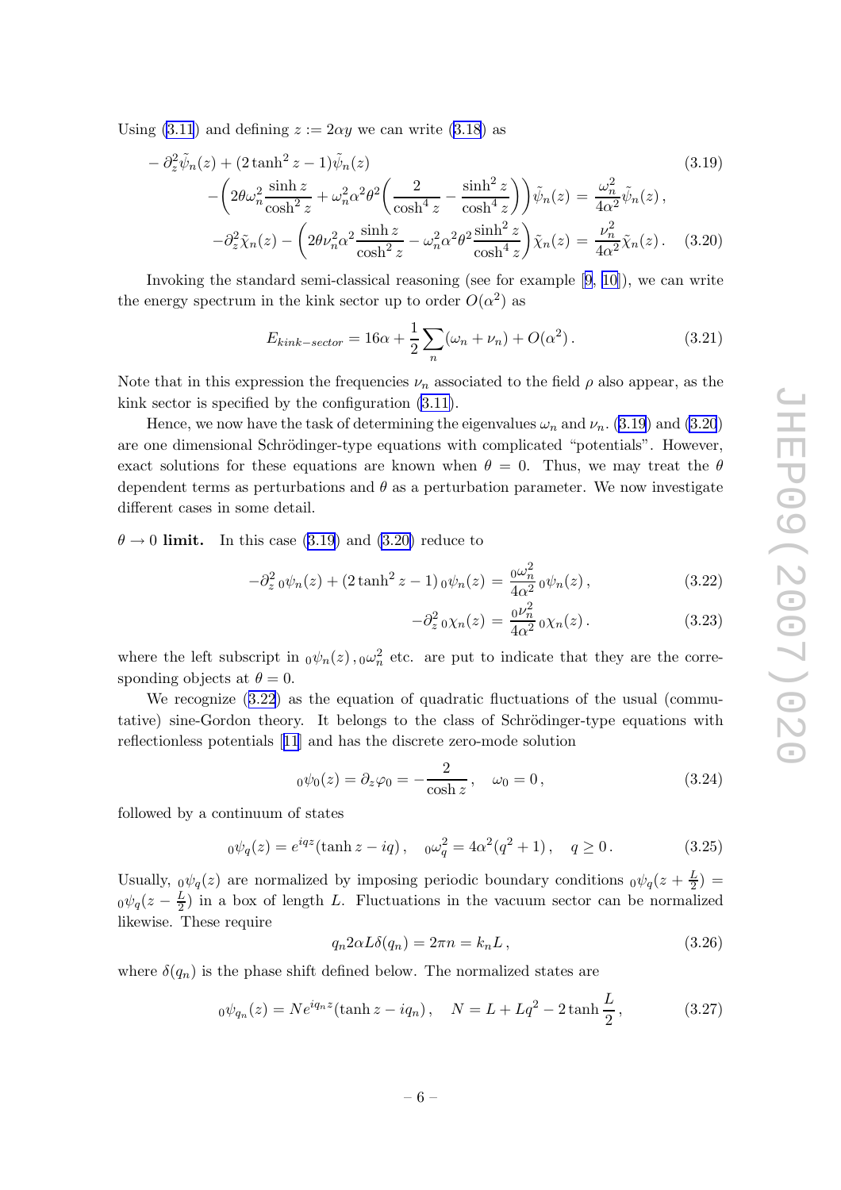<span id="page-7-0"></span>Using  $(3.11)$  $(3.11)$  and defining  $z := 2\alpha y$  we can write  $(3.18)$  $(3.18)$  as

$$
-\partial_z^2 \tilde{\psi}_n(z) + (2 \tanh^2 z - 1) \tilde{\psi}_n(z)
$$
\n
$$
-\left(2\theta \omega_n^2 \frac{\sinh z}{\cosh^2 z} + \omega_n^2 \alpha^2 \theta^2 \left(\frac{2}{\cosh^4 z} - \frac{\sinh^2 z}{\cosh^4 z}\right)\right) \tilde{\psi}_n(z) = \frac{\omega_n^2}{4\alpha^2} \tilde{\psi}_n(z),
$$
\n
$$
-\partial_z^2 \tilde{\chi}_n(z) - \left(2\theta \nu_n^2 \alpha^2 \frac{\sinh z}{\cosh^2 z} - \omega_n^2 \alpha^2 \theta^2 \frac{\sinh^2 z}{\cosh^4 z}\right) \tilde{\chi}_n(z) = \frac{\nu_n^2}{4\alpha^2} \tilde{\chi}_n(z). \quad (3.20)
$$

Invoking the standard semi-classical reasoning (see for example[[9](#page-16-0), [10\]](#page-16-0)), we can write the energy spectrum in the kink sector up to order  $O(\alpha^2)$  as

$$
E_{kink-sector} = 16\alpha + \frac{1}{2} \sum_{n} (\omega_n + \nu_n) + O(\alpha^2).
$$
 (3.21)

Note that in this expression the frequencies  $\nu_n$  associated to the field  $\rho$  also appear, as the kink sector is specified by the configuration [\(3.11\)](#page-5-0).

Hence, we now have the task of determining the eigenvalues  $\omega_n$  and  $\nu_n$ . (3.19) and (3.20) are one dimensional Schrödinger-type equations with complicated "potentials". However, exact solutions for these equations are known when  $\theta = 0$ . Thus, we may treat the  $\theta$ dependent terms as perturbations and  $\theta$  as a perturbation parameter. We now investigate different cases in some detail.

 $\theta \rightarrow 0$  limit. In this case (3.19) and (3.20) reduce to

$$
-\partial_z^2{}_0\psi_n(z) + (2\tanh^2 z - 1){}_0\psi_n(z) = \frac{0\omega_n^2}{4\alpha^2}{}_0\psi_n(z),\tag{3.22}
$$

$$
-\partial_z^2 \, o \chi_n(z) = \frac{0 \nu_n^2}{4 \alpha^2} \, o \chi_n(z) \,. \tag{3.23}
$$

where the left subscript in  $_0\psi_n(z)$ ,  $_0\omega_n^2$  etc. are put to indicate that they are the corresponding objects at  $\theta = 0$ .

We recognize  $(3.22)$  as the equation of quadratic fluctuations of the usual (commutative) sine-Gordon theory. It belongs to the class of Schrödinger-type equations with reflectionless potentials[[11](#page-16-0)] and has the discrete zero-mode solution

$$
{}_0\psi_0(z) = \partial_z \varphi_0 = -\frac{2}{\cosh z}, \quad \omega_0 = 0, \tag{3.24}
$$

followed by a continuum of states

$$
{}_0\psi_q(z) = e^{iqz}(\tanh z - iq), \quad {}_0\omega_q^2 = 4\alpha^2(q^2+1), \quad q \ge 0. \tag{3.25}
$$

Usually,  $_0\psi_q(z)$  are normalized by imposing periodic boundary conditions  $_0\psi_q(z+\frac{L}{2})$  $(\frac{L}{2}) =$  $_0\psi_q(z-\frac{L}{2})$  $\frac{L}{2}$ ) in a box of length L. Fluctuations in the vacuum sector can be normalized likewise. These require

$$
q_n 2\alpha L\delta(q_n) = 2\pi n = k_n L, \qquad (3.26)
$$

where  $\delta(q_n)$  is the phase shift defined below. The normalized states are

$$
{}_0\psi_{q_n}(z) = N e^{iq_n z} (\tanh z - iq_n), \quad N = L + Lq^2 - 2 \tanh \frac{L}{2}, \quad (3.27)
$$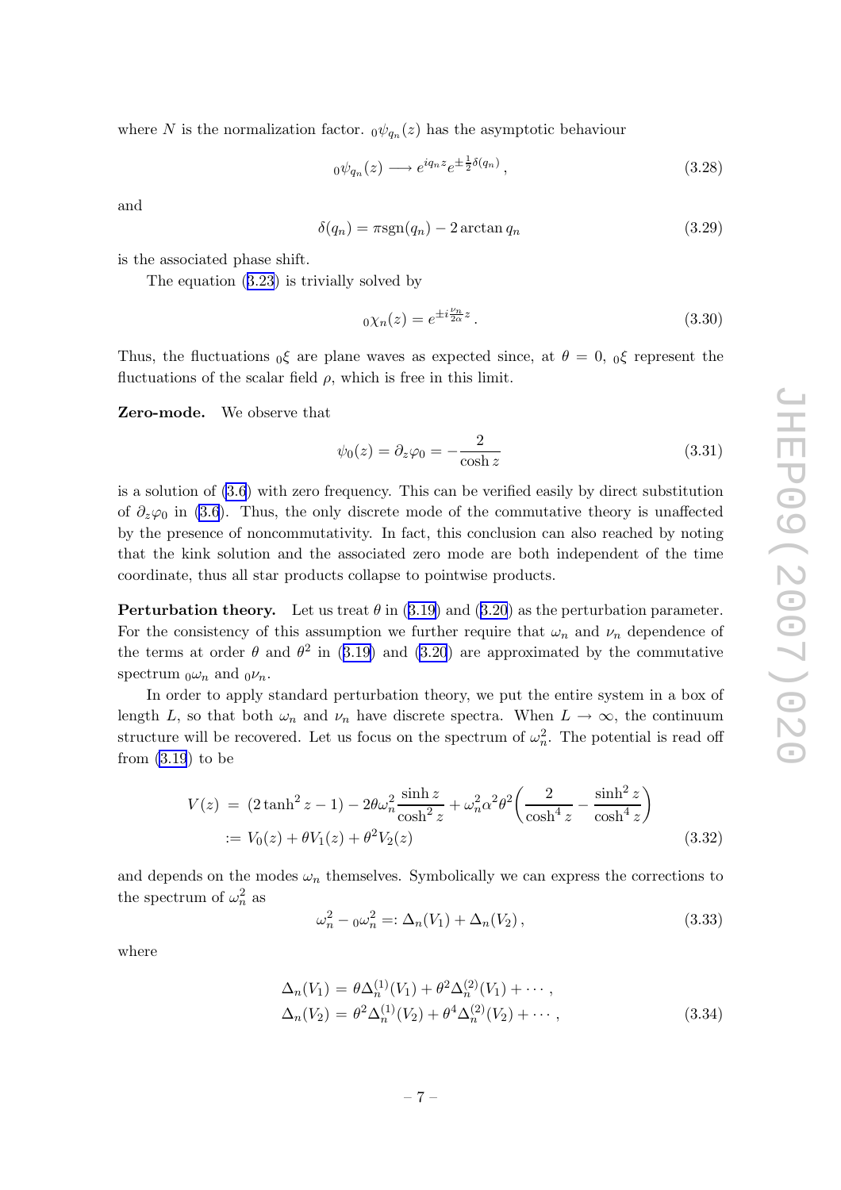where N is the normalization factor.  $_0\psi_{q_n}(z)$  has the asymptotic behaviour

$$
{}_0\psi_{q_n}(z) \longrightarrow e^{iq_n z} e^{\pm \frac{1}{2}\delta(q_n)}, \qquad (3.28)
$$

and

$$
\delta(q_n) = \pi \text{sgn}(q_n) - 2 \arctan q_n \tag{3.29}
$$

is the associated phase shift.

The equation ([3.23](#page-7-0)) is trivially solved by

$$
0\chi_n(z) = e^{\pm i\frac{\nu_n}{2\alpha}z}.
$$
\n(3.30)

Thus, the fluctuations  $_0\xi$  are plane waves as expected since, at  $\theta = 0$ ,  $_0\xi$  represent the fluctuations of the scalar field  $\rho$ , which is free in this limit.

Zero-mode. We observe that

$$
\psi_0(z) = \partial_z \varphi_0 = -\frac{2}{\cosh z} \tag{3.31}
$$

is a solution of [\(3.6](#page-5-0)) with zero frequency. This can be verified easily by direct substitution of  $\partial_z\varphi_0$  in [\(3.6](#page-5-0)). Thus, the only discrete mode of the commutative theory is unaffected by the presence of noncommutativity. In fact, this conclusion can also reached by noting that the kink solution and the associated zero mode are both independent of the time coordinate, thus all star products collapse to pointwise products.

**Perturbation theory.** Let us treat  $\theta$  in ([3.19](#page-7-0)) and [\(3.20](#page-7-0)) as the perturbation parameter. For the consistency of this assumption we further require that  $\omega_n$  and  $\nu_n$  dependence of the terms at order  $\theta$  and  $\theta^2$  in ([3.19\)](#page-7-0) and [\(3.20](#page-7-0)) are approximated by the commutative spectrum  $_0\omega_n$  and  $_0\nu_n$ .

In order to apply standard perturbation theory, we put the entire system in a box of length L, so that both  $\omega_n$  and  $\nu_n$  have discrete spectra. When  $L \to \infty$ , the continuum structure will be recovered. Let us focus on the spectrum of  $\omega_n^2$ . The potential is read off from  $(3.19)$  $(3.19)$  to be

$$
V(z) = (2 \tanh^2 z - 1) - 2\theta \omega_n^2 \frac{\sinh z}{\cosh^2 z} + \omega_n^2 \alpha^2 \theta^2 \left(\frac{2}{\cosh^4 z} - \frac{\sinh^2 z}{\cosh^4 z}\right)
$$
  
 :=  $V_0(z) + \theta V_1(z) + \theta^2 V_2(z)$  (3.32)

and depends on the modes  $\omega_n$  themselves. Symbolically we can express the corrections to the spectrum of  $\omega_n^2$  as

$$
\omega_n^2 - 0\omega_n^2 =: \Delta_n(V_1) + \Delta_n(V_2), \qquad (3.33)
$$

where

$$
\Delta_n(V_1) = \theta \Delta_n^{(1)}(V_1) + \theta^2 \Delta_n^{(2)}(V_1) + \cdots ,
$$
  
\n
$$
\Delta_n(V_2) = \theta^2 \Delta_n^{(1)}(V_2) + \theta^4 \Delta_n^{(2)}(V_2) + \cdots ,
$$
\n(3.34)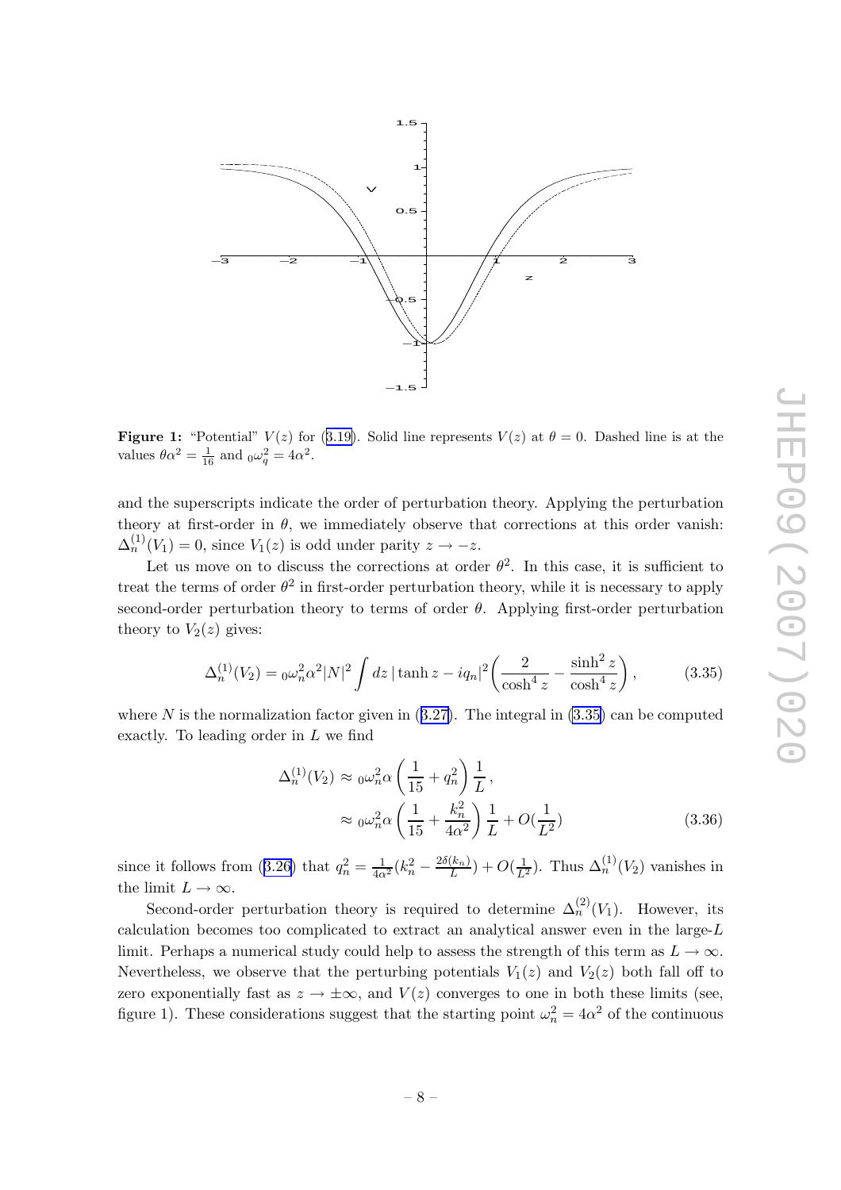

**Figure 1:** "Potential"  $V(z)$  for ([3.19\)](#page-7-0). Solid line represents  $V(z)$  at  $\theta = 0$ . Dashed line is at the values  $\theta \alpha^2 = \frac{1}{16}$  and  $_0\omega_q^2 = 4\alpha^2$ .

and the superscripts indicate the order of perturbation theory. Applying the perturbation theory at first-order in  $\theta$ , we immediately observe that corrections at this order vanish:  $\Delta_n^{(1)}(V_1) = 0$ , since  $V_1(z)$  is odd under parity  $z \to -z$ .

Let us move on to discuss the corrections at order  $\theta^2$ . In this case, it is sufficient to treat the terms of order  $\theta^2$  in first-order perturbation theory, while it is necessary to apply second-order perturbation theory to terms of order  $\theta$ . Applying first-order perturbation theory to  $V_2(z)$  gives:

$$
\Delta_n^{(1)}(V_2) = 0 \omega_n^2 \alpha^2 |N|^2 \int dz \, |\tanh z - iq_n|^2 \left( \frac{2}{\cosh^4 z} - \frac{\sinh^2 z}{\cosh^4 z} \right),\tag{3.35}
$$

where  $N$  is the normalization factor given in  $(3.27)$  $(3.27)$ . The integral in  $(3.35)$  can be computed exactly. To leading order in L we find

$$
\Delta_n^{(1)}(V_2) \approx 0 \omega_n^2 \alpha \left(\frac{1}{15} + q_n^2\right) \frac{1}{L},
$$
  

$$
\approx 0 \omega_n^2 \alpha \left(\frac{1}{15} + \frac{k_n^2}{4\alpha^2}\right) \frac{1}{L} + O(\frac{1}{L^2})
$$
(3.36)

since it follows from ([3.26\)](#page-7-0) that  $q_n^2 = \frac{1}{4\alpha}$  $\frac{1}{4\alpha^2}(k_n^2-\frac{2\delta(k_n)}{L})$  $\frac{(k_n)}{L}$  +  $O(\frac{1}{L^2})$ . Thus  $\Delta_n^{(1)}(V_2)$  vanishes in the limit  $L \to \infty$ .

Second-order perturbation theory is required to determine  $\Delta_n^{(2)}(V_1)$ . However, its calculation becomes too complicated to extract an analytical answer even in the large-L limit. Perhaps a numerical study could help to assess the strength of this term as  $L \to \infty$ . Nevertheless, we observe that the perturbing potentials  $V_1(z)$  and  $V_2(z)$  both fall off to zero exponentially fast as  $z \to \pm \infty$ , and  $V(z)$  converges to one in both these limits (see, figure 1). These considerations suggest that the starting point  $\omega_n^2 = 4\alpha^2$  of the continuous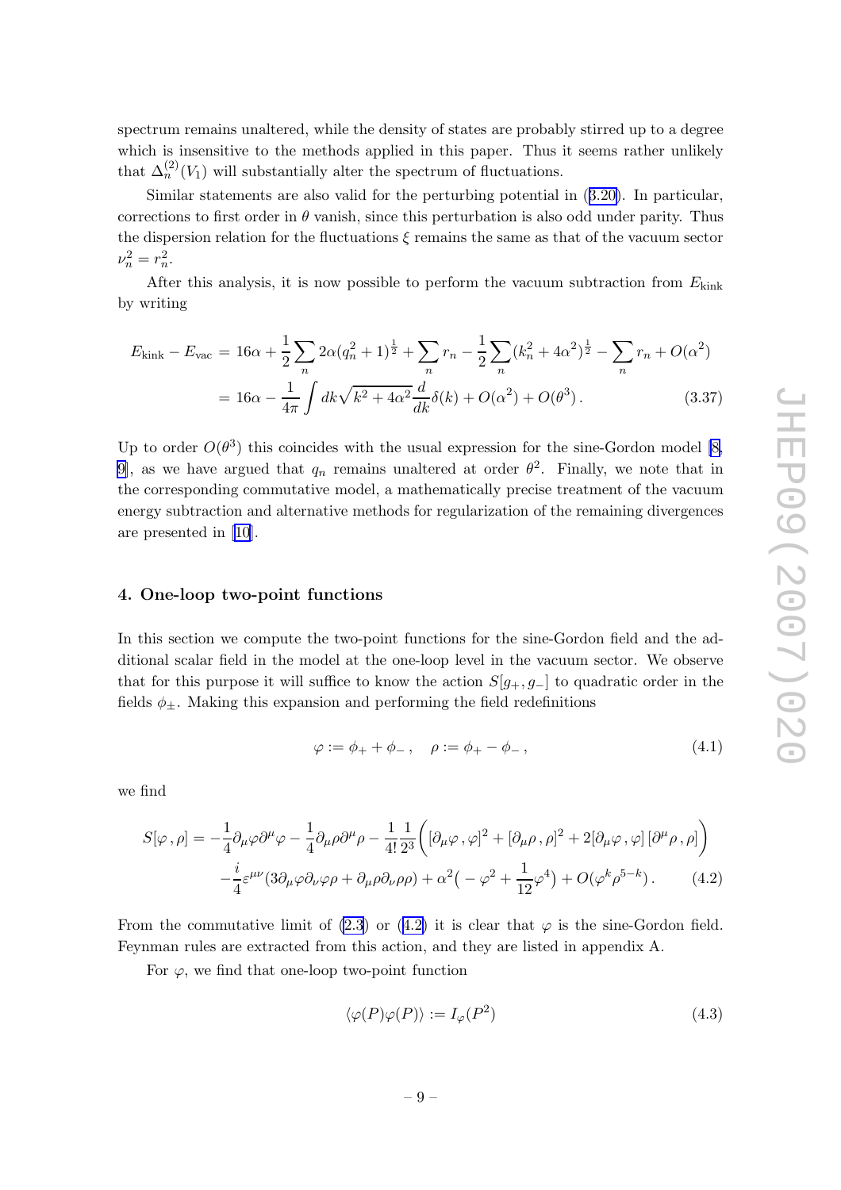<span id="page-10-0"></span>spectrum remains unaltered, while the density of states are probably stirred up to a degree which is insensitive to the methods applied in this paper. Thus it seems rather unlikely that  $\Delta_n^{(2)}(V_1)$  will substantially alter the spectrum of fluctuations.

Similar statements are also valid for the perturbing potential in ([3.20\)](#page-7-0). In particular, corrections to first order in  $\theta$  vanish, since this perturbation is also odd under parity. Thus the dispersion relation for the fluctuations  $\xi$  remains the same as that of the vacuum sector  $\nu_n^2 = r_n^2$ .

After this analysis, it is now possible to perform the vacuum subtraction from  $E_{\text{kink}}$ by writing

$$
E_{\text{kink}} - E_{\text{vac}} = 16\alpha + \frac{1}{2} \sum_{n} 2\alpha (q_n^2 + 1)^{\frac{1}{2}} + \sum_{n} r_n - \frac{1}{2} \sum_{n} (k_n^2 + 4\alpha^2)^{\frac{1}{2}} - \sum_{n} r_n + O(\alpha^2)
$$
  
= 
$$
16\alpha - \frac{1}{4\pi} \int dk \sqrt{k^2 + 4\alpha^2} \frac{d}{dk} \delta(k) + O(\alpha^2) + O(\theta^3).
$$
 (3.37)

Up to order  $O(\theta^3)$  this coincides with the usual expression for the sine-Gordon model [\[8,](#page-15-0) 9, as we have argued that  $q_n$  remains unaltered at order  $\theta^2$ . Finally, we note that in the corresponding commutative model, a mathematically precise treatment of the vacuum energy subtraction and alternative methods for regularization of the remaining divergences are presented in [\[10](#page-16-0)].

### 4. One-loop two-point functions

In this section we compute the two-point functions for the sine-Gordon field and the additional scalar field in the model at the one-loop level in the vacuum sector. We observe that for this purpose it will suffice to know the action  $S[g_+, g_-]$  to quadratic order in the fields  $\phi_{\pm}$ . Making this expansion and performing the field redefinitions

$$
\varphi := \phi_+ + \phi_-, \quad \rho := \phi_+ - \phi_-, \tag{4.1}
$$

we find

$$
S[\varphi,\rho] = -\frac{1}{4}\partial_{\mu}\varphi\partial^{\mu}\varphi - \frac{1}{4}\partial_{\mu}\rho\partial^{\mu}\rho - \frac{1}{4!}\frac{1}{2^{3}}\left([\partial_{\mu}\varphi,\varphi]^{2} + [\partial_{\mu}\rho,\rho]^{2} + 2[\partial_{\mu}\varphi,\varphi][\partial^{\mu}\rho,\rho]\right) -\frac{i}{4}\varepsilon^{\mu\nu}(3\partial_{\mu}\varphi\partial_{\nu}\varphi\rho + \partial_{\mu}\rho\partial_{\nu}\rho\rho) + \alpha^{2}\left(-\varphi^{2} + \frac{1}{12}\varphi^{4}\right) + O(\varphi^{k}\rho^{5-k}).
$$
 (4.2)

From the commutative limit of  $(2.3)$  $(2.3)$  or  $(4.2)$  it is clear that  $\varphi$  is the sine-Gordon field. Feynman rules are extracted from this action, and they are listed in appendix A.

For  $\varphi$ , we find that one-loop two-point function

$$
\langle \varphi(P)\varphi(P)\rangle := I_{\varphi}(P^2)
$$
\n(4.3)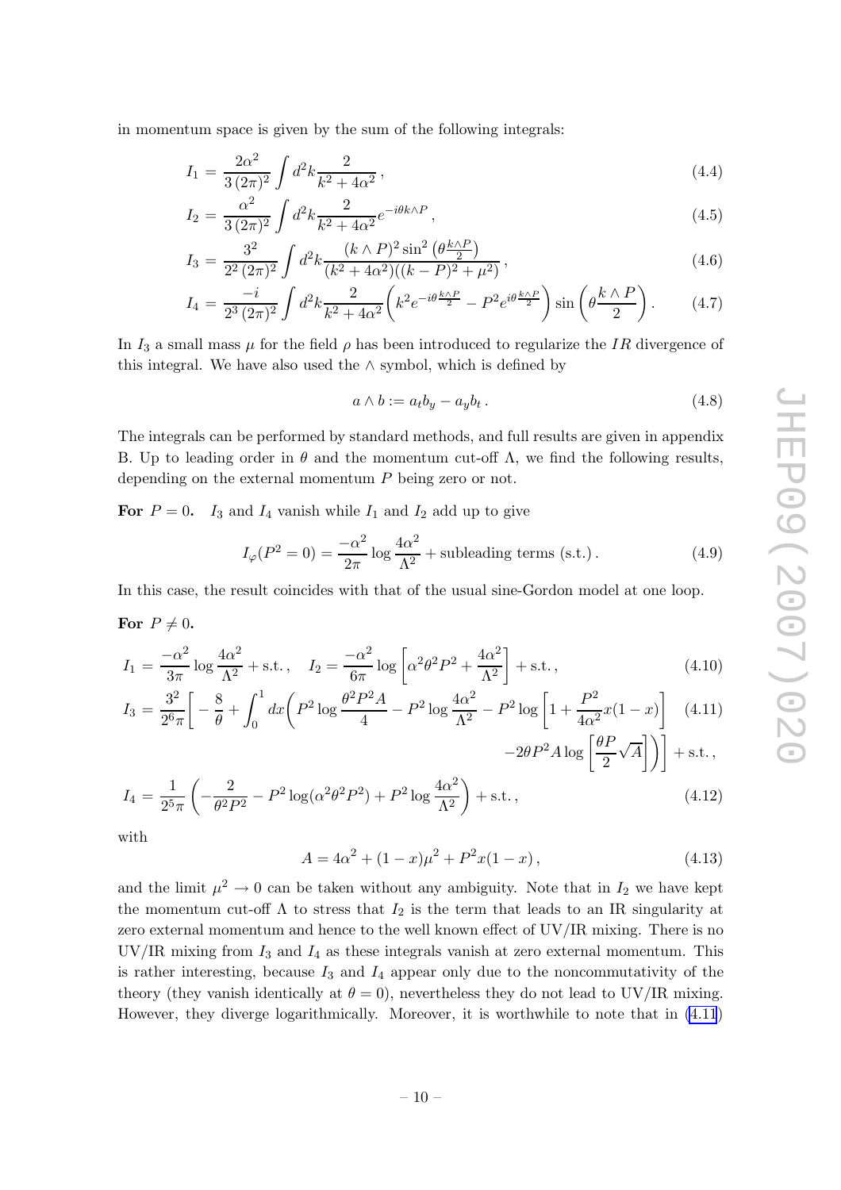<span id="page-11-0"></span>in momentum space is given by the sum of the following integrals:

$$
I_1 = \frac{2\alpha^2}{3(2\pi)^2} \int d^2k \frac{2}{k^2 + 4\alpha^2},\tag{4.4}
$$

$$
I_2 = \frac{\alpha^2}{3(2\pi)^2} \int d^2k \frac{2}{k^2 + 4\alpha^2} e^{-i\theta k \wedge P}, \qquad (4.5)
$$

$$
I_3 = \frac{3^2}{2^2 (2\pi)^2} \int d^2k \frac{(k \wedge P)^2 \sin^2 \left(\theta \frac{k \wedge P}{2}\right)}{(k^2 + 4\alpha^2)((k - P)^2 + \mu^2)},\tag{4.6}
$$

$$
I_4 = \frac{-i}{2^3 (2\pi)^2} \int d^2k \frac{2}{k^2 + 4\alpha^2} \left( k^2 e^{-i\theta \frac{k\wedge P}{2}} - P^2 e^{i\theta \frac{k\wedge P}{2}} \right) \sin\left(\theta \frac{k\wedge P}{2}\right). \tag{4.7}
$$

In  $I_3$  a small mass  $\mu$  for the field  $\rho$  has been introduced to regularize the IR divergence of this integral. We have also used the  $\land$  symbol, which is defined by

$$
a \wedge b := a_t b_y - a_y b_t. \tag{4.8}
$$

The integrals can be performed by standard methods, and full results are given in appendix B. Up to leading order in  $\theta$  and the momentum cut-off  $\Lambda$ , we find the following results, depending on the external momentum P being zero or not.

For  $P = 0$ .  $I_3$  and  $I_4$  vanish while  $I_1$  and  $I_2$  add up to give

$$
I_{\varphi}(P^2 = 0) = \frac{-\alpha^2}{2\pi} \log \frac{4\alpha^2}{\Lambda^2} + \text{subleading terms (s.t.)} \,. \tag{4.9}
$$

In this case, the result coincides with that of the usual sine-Gordon model at one loop.

For  $P \neq 0$ .

$$
I_1 = \frac{-\alpha^2}{3\pi} \log \frac{4\alpha^2}{\Lambda^2} + \text{s.t.}, \quad I_2 = \frac{-\alpha^2}{6\pi} \log \left[ \alpha^2 \theta^2 P^2 + \frac{4\alpha^2}{\Lambda^2} \right] + \text{s.t.}, \tag{4.10}
$$

$$
I_3 = \frac{3^2}{2^6 \pi} \left[ -\frac{8}{\theta} + \int_0^1 dx \left( P^2 \log \frac{\theta^2 P^2 A}{4} - P^2 \log \frac{4\alpha^2}{\Lambda^2} - P^2 \log \left[ 1 + \frac{P^2}{4\alpha^2} x (1 - x) \right] \right] \tag{4.11}
$$

$$
-2\theta P^2 A \log \left[\frac{\theta P}{2}\sqrt{A}\right]\Big)\Big] + \text{s.t.}\,,
$$

$$
I_4 = \frac{1}{2^5 \pi} \left( -\frac{2}{\theta^2 P^2} - P^2 \log(\alpha^2 \theta^2 P^2) + P^2 \log \frac{4\alpha^2}{\Lambda^2} \right) + \text{s.t.},\tag{4.12}
$$

with

$$
A = 4\alpha^2 + (1 - x)\mu^2 + P^2x(1 - x), \qquad (4.13)
$$

and the limit  $\mu^2 \to 0$  can be taken without any ambiguity. Note that in  $I_2$  we have kept the momentum cut-off  $\Lambda$  to stress that  $I_2$  is the term that leads to an IR singularity at zero external momentum and hence to the well known effect of UV/IR mixing. There is no  $UV/IR$  mixing from  $I_3$  and  $I_4$  as these integrals vanish at zero external momentum. This is rather interesting, because  $I_3$  and  $I_4$  appear only due to the noncommutativity of the theory (they vanish identically at  $\theta = 0$ ), nevertheless they do not lead to UV/IR mixing. However, they diverge logarithmically. Moreover, it is worthwhile to note that in (4.11)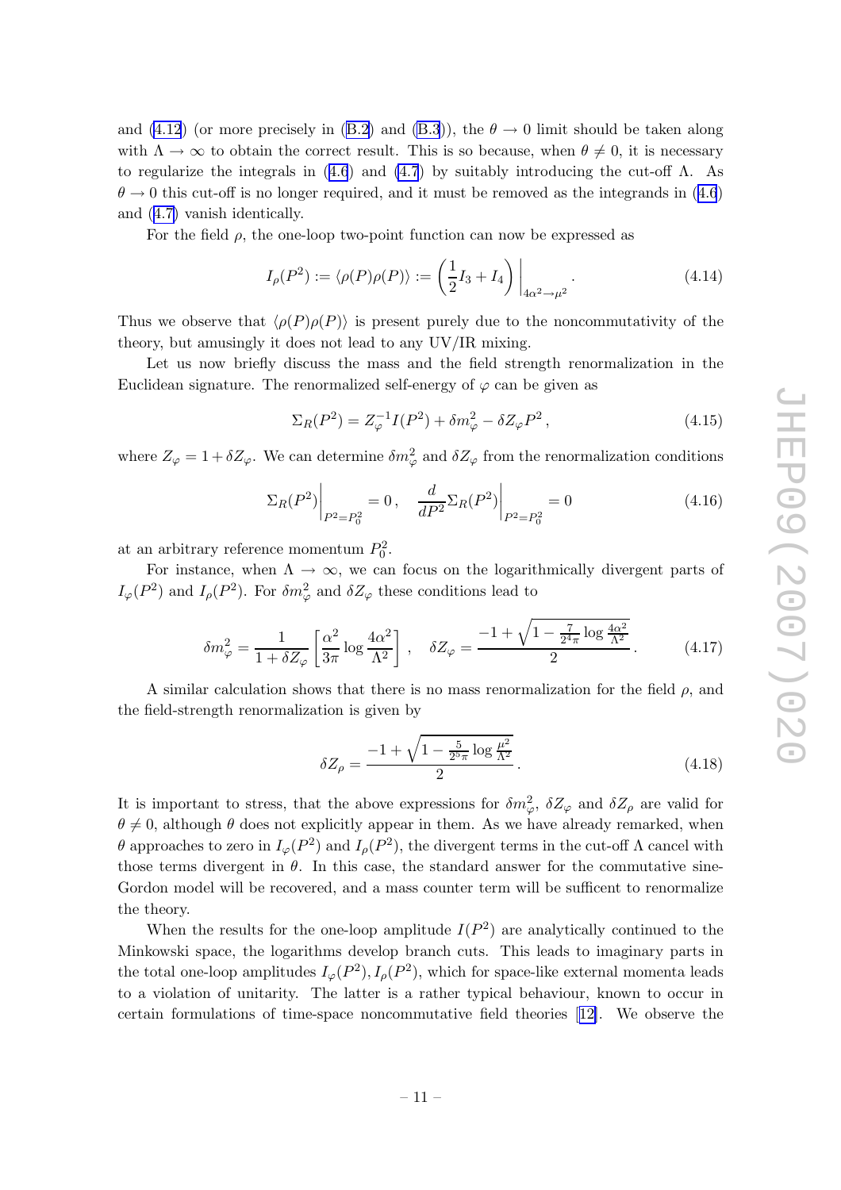and [\(4.12](#page-11-0)) (or more precisely in ([B.2](#page-15-0)) and [\(B.3](#page-15-0))), the  $\theta \to 0$  limit should be taken along with  $\Lambda \to \infty$  to obtain the correct result. This is so because, when  $\theta \neq 0$ , it is necessary to regularize the integrals in  $(4.6)$  $(4.6)$  $(4.6)$  and  $(4.7)$  $(4.7)$  by suitably introducing the cut-off  $\Lambda$ . As  $\theta \to 0$  this cut-off is no longer required, and it must be removed as the integrands in ([4.6](#page-11-0)) and ([4.7\)](#page-11-0) vanish identically.

For the field  $\rho$ , the one-loop two-point function can now be expressed as

$$
I_{\rho}(P^2) := \langle \rho(P)\rho(P) \rangle := \left(\frac{1}{2}I_3 + I_4\right)\bigg|_{4\alpha^2 \to \mu^2}.
$$
\n(4.14)

Thus we observe that  $\langle \rho(P)\rho(P) \rangle$  is present purely due to the noncommutativity of the theory, but amusingly it does not lead to any UV/IR mixing.

Let us now briefly discuss the mass and the field strength renormalization in the Euclidean signature. The renormalized self-energy of  $\varphi$  can be given as

$$
\Sigma_R(P^2) = Z_{\varphi}^{-1} I(P^2) + \delta m_{\varphi}^2 - \delta Z_{\varphi} P^2, \qquad (4.15)
$$

where  $Z_{\varphi} = 1 + \delta Z_{\varphi}$ . We can determine  $\delta m_{\varphi}^2$  and  $\delta Z_{\varphi}$  from the renormalization conditions

$$
\Sigma_R(P^2)\bigg|_{P^2=P_0^2} = 0, \quad \frac{d}{dP^2}\Sigma_R(P^2)\bigg|_{P^2=P_0^2} = 0 \tag{4.16}
$$

at an arbitrary reference momentum  $P_0^2$ .

For instance, when  $\Lambda \to \infty$ , we can focus on the logarithmically divergent parts of  $I_{\varphi}(P^2)$  and  $I_{\rho}(P^2)$ . For  $\delta m_{\varphi}^2$  and  $\delta Z_{\varphi}$  these conditions lead to

$$
\delta m_{\varphi}^2 = \frac{1}{1 + \delta Z_{\varphi}} \left[ \frac{\alpha^2}{3\pi} \log \frac{4\alpha^2}{\Lambda^2} \right], \quad \delta Z_{\varphi} = \frac{-1 + \sqrt{1 - \frac{7}{2^4 \pi} \log \frac{4\alpha^2}{\Lambda^2}}}{2}.
$$
 (4.17)

A similar calculation shows that there is no mass renormalization for the field  $\rho$ , and the field-strength renormalization is given by

$$
\delta Z_{\rho} = \frac{-1 + \sqrt{1 - \frac{5}{2^5 \pi} \log \frac{\mu^2}{\Lambda^2}}}{2}.
$$
\n(4.18)

It is important to stress, that the above expressions for  $\delta m_{\varphi}^2$ ,  $\delta Z_{\varphi}$  and  $\delta Z_{\rho}$  are valid for  $\theta \neq 0$ , although  $\theta$  does not explicitly appear in them. As we have already remarked, when θ approaches to zero in  $I_{\varphi}(P^2)$  and  $I_{\rho}(P^2)$ , the divergent terms in the cut-off Λ cancel with those terms divergent in  $\theta$ . In this case, the standard answer for the commutative sine-Gordon model will be recovered, and a mass counter term will be sufficent to renormalize the theory.

When the results for the one-loop amplitude  $I(P^2)$  are analytically continued to the Minkowski space, the logarithms develop branch cuts. This leads to imaginary parts in the total one-loop amplitudes  $I_{\varphi}(P^2), I_{\rho}(P^2)$ , which for space-like external momenta leads to a violation of unitarity. The latter is a rather typical behaviour, known to occur in certain formulations of time-space noncommutative field theories[[12\]](#page-16-0). We observe the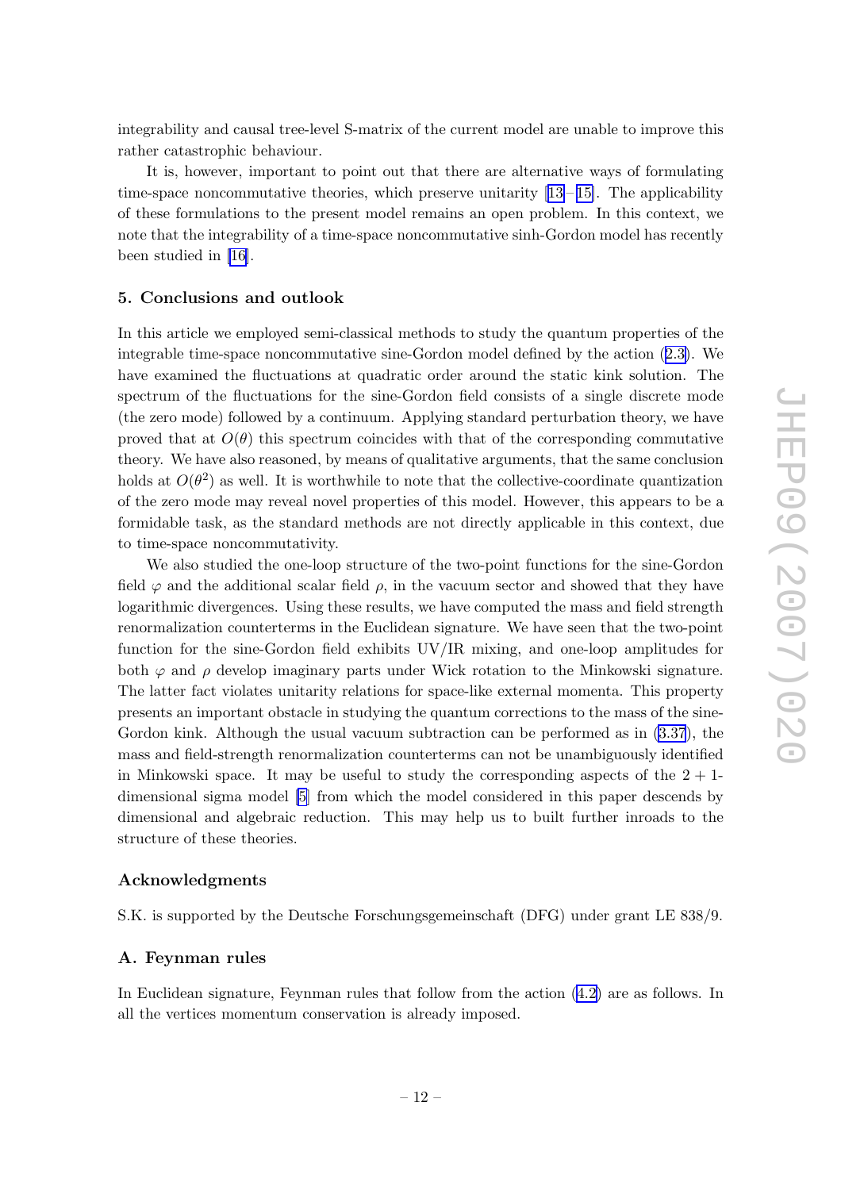<span id="page-13-0"></span>integrability and causal tree-level S-matrix of the current model are unable to improve this rather catastrophic behaviour.

It is, however, important to point out that there are alternative ways of formulating time-spacenoncommutative theories, which preserve unitarity  $[13-15]$  $[13-15]$  $[13-15]$  $[13-15]$ . The applicability of these formulations to the present model remains an open problem. In this context, we note that the integrability of a time-space noncommutative sinh-Gordon model has recently been studied in [\[16\]](#page-16-0).

#### 5. Conclusions and outlook

In this article we employed semi-classical methods to study the quantum properties of the integrable time-space noncommutative sine-Gordon model defined by the action ([2.3\)](#page-3-0). We have examined the fluctuations at quadratic order around the static kink solution. The spectrum of the fluctuations for the sine-Gordon field consists of a single discrete mode (the zero mode) followed by a continuum. Applying standard perturbation theory, we have proved that at  $O(\theta)$  this spectrum coincides with that of the corresponding commutative theory. We have also reasoned, by means of qualitative arguments, that the same conclusion holds at  $O(\theta^2)$  as well. It is worthwhile to note that the collective-coordinate quantization of the zero mode may reveal novel properties of this model. However, this appears to be a formidable task, as the standard methods are not directly applicable in this context, due to time-space noncommutativity.

We also studied the one-loop structure of the two-point functions for the sine-Gordon field  $\varphi$  and the additional scalar field  $\rho$ , in the vacuum sector and showed that they have logarithmic divergences. Using these results, we have computed the mass and field strength renormalization counterterms in the Euclidean signature. We have seen that the two-point function for the sine-Gordon field exhibits UV/IR mixing, and one-loop amplitudes for both  $\varphi$  and  $\rho$  develop imaginary parts under Wick rotation to the Minkowski signature. The latter fact violates unitarity relations for space-like external momenta. This property presents an important obstacle in studying the quantum corrections to the mass of the sine-Gordon kink. Although the usual vacuum subtraction can be performed as in [\(3.37](#page-10-0)), the mass and field-strength renormalization counterterms can not be unambiguously identified in Minkowski space. It may be useful to study the corresponding aspects of the  $2 + 1$ dimensional sigma model [\[5\]](#page-15-0) from which the model considered in this paper descends by dimensional and algebraic reduction. This may help us to built further inroads to the structure of these theories.

#### Acknowledgments

S.K. is supported by the Deutsche Forschungsgemeinschaft (DFG) under grant LE 838/9.

#### A. Feynman rules

In Euclidean signature, Feynman rules that follow from the action [\(4.2\)](#page-10-0) are as follows. In all the vertices momentum conservation is already imposed.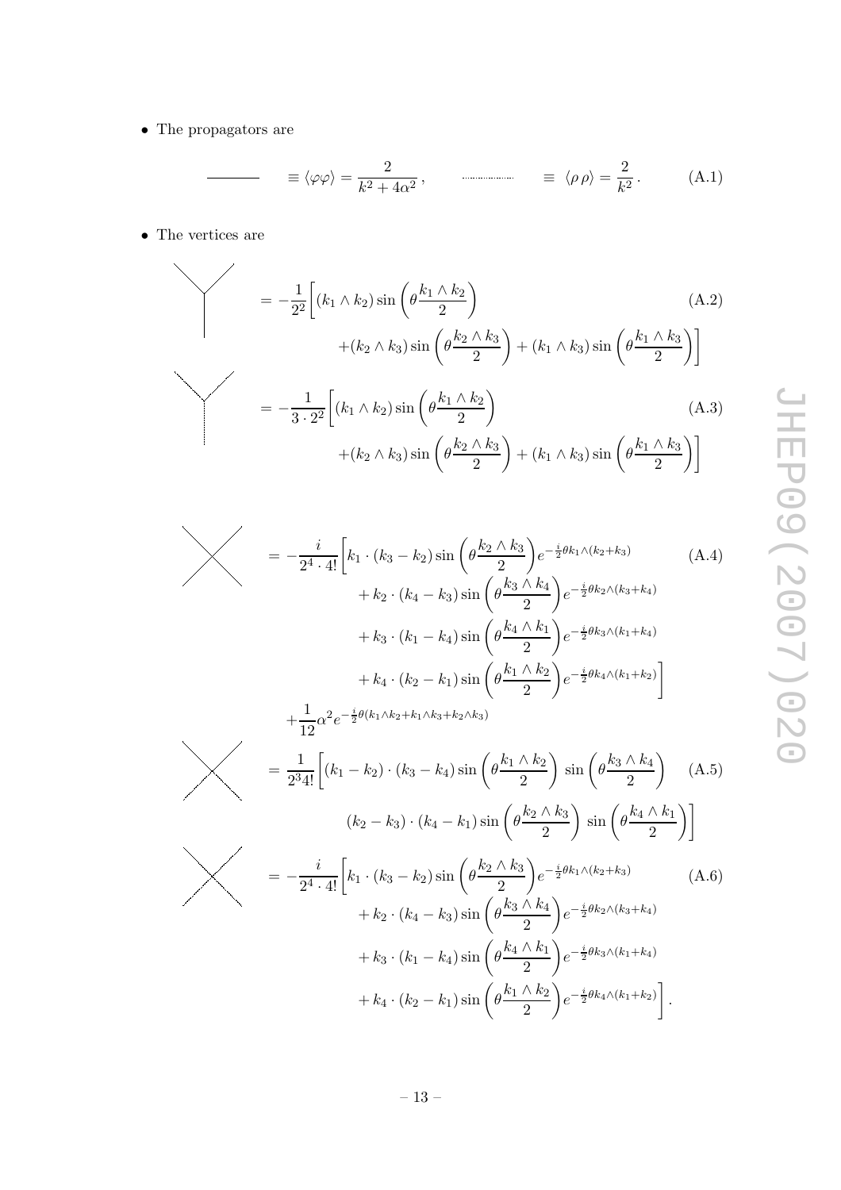$\bullet~$  The propagators are

$$
\equiv \langle \varphi \varphi \rangle = \frac{2}{k^2 + 4\alpha^2}, \qquad \qquad \equiv \langle \rho \rho \rangle = \frac{2}{k^2}.
$$
 (A.1)

 $\bullet$  The vertices are<br>  $\overline{\phantom{0}}$ 

$$
= -\frac{1}{2^2} \left[ (k_1 \wedge k_2) \sin \left( \theta \frac{k_1 \wedge k_2}{2} \right) \right]
$$
  
\n
$$
+ (k_2 \wedge k_3) \sin \left( \theta \frac{k_2 \wedge k_3}{2} \right) + (k_1 \wedge k_3) \sin \left( \theta \frac{k_1 \wedge k_3}{2} \right) \right]
$$
  
\n
$$
= -\frac{1}{3 \cdot 2^2} \left[ (k_1 \wedge k_2) \sin \left( \theta \frac{k_1 \wedge k_2}{2} \right) + (k_2 \wedge k_3) \sin \left( \theta \frac{k_2 \wedge k_3}{2} \right) + (k_1 \wedge k_3) \sin \left( \theta \frac{k_1 \wedge k_3}{2} \right) \right]
$$
  
\n(A.3)

$$
= -\frac{i}{2^4 \cdot 4!} \left[ k_1 \cdot (k_3 - k_2) \sin \left( \theta \frac{k_2 \wedge k_3}{2} \right) e^{-\frac{i}{2} \theta k_1 \wedge (k_2 + k_3)} \right]
$$
(A.4)  
+  $k_2 \cdot (k_4 - k_3) \sin \left( \theta \frac{k_3 \wedge k_4}{2} \right) e^{-\frac{i}{2} \theta k_2 \wedge (k_3 + k_4)}$   
+  $k_3 \cdot (k_1 - k_4) \sin \left( \theta \frac{k_4 \wedge k_1}{2} \right) e^{-\frac{i}{2} \theta k_3 \wedge (k_1 + k_4)}$   
+  $k_4 \cdot (k_2 - k_1) \sin \left( \theta \frac{k_1 \wedge k_2}{2} \right) e^{-\frac{i}{2} \theta k_4 \wedge (k_1 + k_2)}$   
+  $\frac{1}{12} \alpha^2 e^{-\frac{i}{2} \theta (k_1 \wedge k_2 + k_1 \wedge k_3 + k_2 \wedge k_3)}$  (A.4)

$$
= \frac{1}{2^3 4!} \left[ (k_1 - k_2) \cdot (k_3 - k_4) \sin \left( \theta \frac{k_1 \wedge k_2}{2} \right) \sin \left( \theta \frac{k_3 \wedge k_4}{2} \right) \right]
$$
\n
$$
(k_2 - k_3) \cdot (k_4 - k_1) \sin \left( \theta \frac{k_2 \wedge k_3}{2} \right) \sin \left( \theta \frac{k_4 \wedge k_1}{2} \right) \right]
$$
\n
$$
(k_2 - k_3) \cdot (k_4 - k_1) \sin \left( \theta \frac{k_2 \wedge k_3}{2} \right) \sin \left( \theta \frac{k_4 \wedge k_1}{2} \right)
$$

$$
\left(\lambda_{1}^{2} - \frac{i}{2^{4} \cdot 4!} \left[ k_{1} \cdot (k_{3} - k_{2}) \sin \left( \theta \frac{k_{2} \wedge k_{3}}{2} \right) e^{-\frac{i}{2} \theta k_{1} \wedge (k_{2} + k_{3})} + k_{2} \cdot (k_{4} - k_{3}) \sin \left( \theta \frac{k_{3} \wedge k_{4}}{2} \right) e^{-\frac{i}{2} \theta k_{2} \wedge (k_{3} + k_{4})} + k_{3} \cdot (k_{1} - k_{4}) \sin \left( \theta \frac{k_{4} \wedge k_{1}}{2} \right) e^{-\frac{i}{2} \theta k_{3} \wedge (k_{1} + k_{4})} + k_{4} \cdot (k_{2} - k_{1}) \sin \left( \theta \frac{k_{1} \wedge k_{2}}{2} \right) e^{-\frac{i}{2} \theta k_{4} \wedge (k_{1} + k_{2})} \right].
$$
\n(A.6)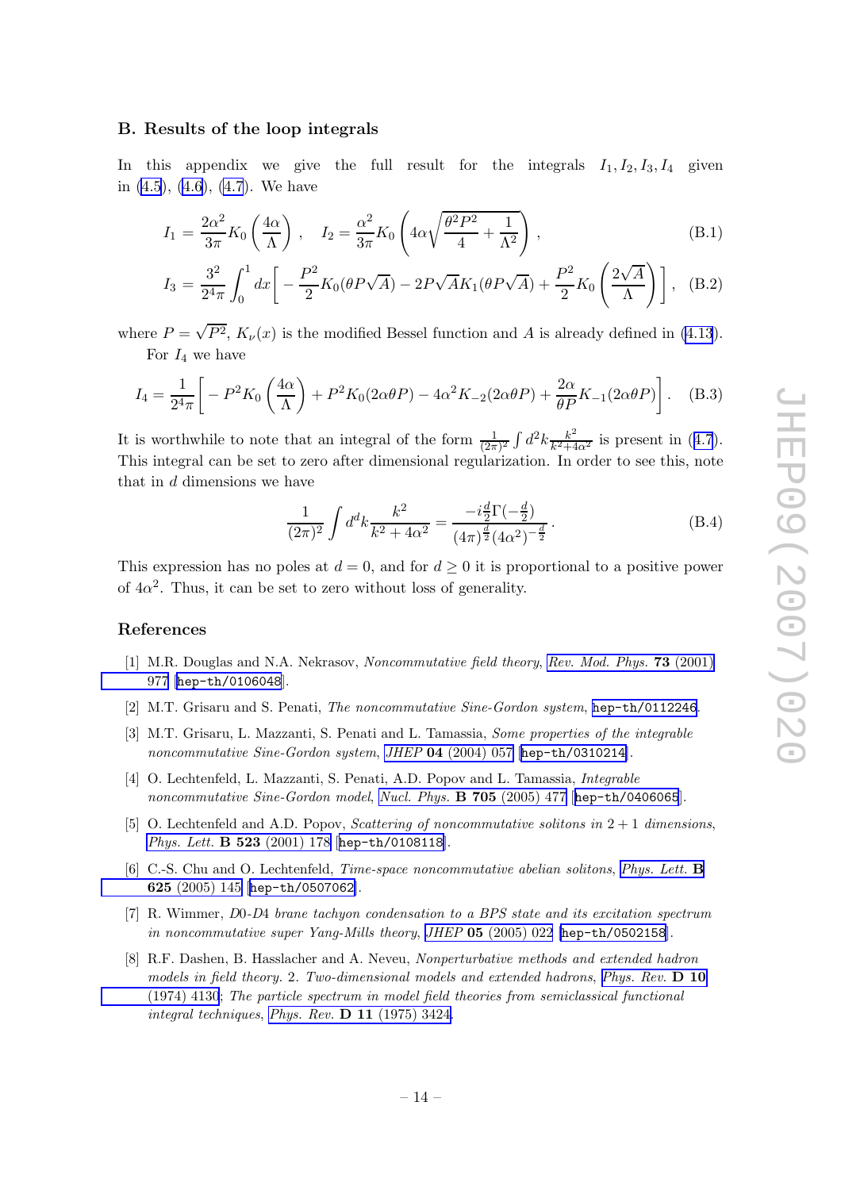#### <span id="page-15-0"></span>B. Results of the loop integrals

In this appendix we give the full result for the integrals  $I_1, I_2, I_3, I_4$  given in [\(4.5](#page-11-0)), [\(4.6](#page-11-0)), [\(4.7](#page-11-0)). We have

$$
I_1 = \frac{2\alpha^2}{3\pi} K_0 \left(\frac{4\alpha}{\Lambda}\right), \quad I_2 = \frac{\alpha^2}{3\pi} K_0 \left(4\alpha \sqrt{\frac{\theta^2 P^2}{4} + \frac{1}{\Lambda^2}}\right),\tag{B.1}
$$

$$
I_3 = \frac{3^2}{2^4 \pi} \int_0^1 dx \left[ -\frac{P^2}{2} K_0(\theta P \sqrt{A}) - 2P \sqrt{A} K_1(\theta P \sqrt{A}) + \frac{P^2}{2} K_0 \left( \frac{2\sqrt{A}}{\Lambda} \right) \right], \quad (B.2)
$$

where  $P = \sqrt{P^2}$ ,  $K_{\nu}(x)$  is the modified Bessel function and A is already defined in [\(4.13](#page-11-0)). For  $I_4$  we have

$$
I_4 = \frac{1}{2^4 \pi} \left[ -P^2 K_0 \left( \frac{4\alpha}{\Lambda} \right) + P^2 K_0 (2\alpha \theta P) - 4\alpha^2 K_{-2} (2\alpha \theta P) + \frac{2\alpha}{\theta P} K_{-1} (2\alpha \theta P) \right].
$$
 (B.3)

It is worthwhile to note that an integral of the form  $\frac{1}{2\pi}$  $\frac{1}{(2\pi)^2} \int d^2k \frac{k^2}{k^2+4}$  $\frac{k^2}{k^2+4\alpha^2}$  is present in ([4.7](#page-11-0)). This integral can be set to zero after dimensional regularization. In order to see this, note that in  $d$  dimensions we have  $1$ 

$$
\frac{1}{(2\pi)^2} \int d^d k \frac{k^2}{k^2 + 4\alpha^2} = \frac{-i\frac{d}{2}\Gamma(-\frac{d}{2})}{(4\pi)^{\frac{d}{2}}(4\alpha^2)^{-\frac{d}{2}}}.
$$
 (B.4)

This expression has no poles at  $d = 0$ , and for  $d \geq 0$  it is proportional to a positive power of  $4\alpha^2$ . Thus, it can be set to zero without loss of generality.

#### References

- [1] M.R. Douglas and N.A. Nekrasov, Noncommutative field theory, [Rev. Mod. Phys.](http://www-spires.slac.stanford.edu/spires/find/hep/www?j=RMPHA%2C73%2C977) 73 (2001) [977](http://www-spires.slac.stanford.edu/spires/find/hep/www?j=RMPHA%2C73%2C977) [[hep-th/0106048](http://arxiv.org/abs/hep-th/0106048)].
- [2] M.T. Grisaru and S. Penati, *The noncommutative Sine-Gordon system*, [hep-th/0112246](http://arxiv.org/abs/hep-th/0112246).
- [3] M.T. Grisaru, L. Mazzanti, S. Penati and L. Tamassia, Some properties of the integrable noncommutative Sine-Gordon system, JHEP 04 [\(2004\) 057](http://jhep.sissa.it/stdsearch?paper=04%282004%29057) [[hep-th/0310214](http://arxiv.org/abs/hep-th/0310214)].
- [4] O. Lechtenfeld, L. Mazzanti, S. Penati, A.D. Popov and L. Tamassia, Integrable noncommutative Sine-Gordon model, [Nucl. Phys.](http://www-spires.slac.stanford.edu/spires/find/hep/www?j=NUPHA%2CB705%2C477) **B 705** (2005) 477 [[hep-th/0406065](http://arxiv.org/abs/hep-th/0406065)].
- [5] O. Lechtenfeld and A.D. Popov, *Scattering of noncommutative solitons in*  $2 + 1$  *dimensions*, [Phys. Lett.](http://www-spires.slac.stanford.edu/spires/find/hep/www?j=PHLTA%2CB523%2C178) B 523 (2001) 178 [[hep-th/0108118](http://arxiv.org/abs/hep-th/0108118)].
- [6] C.-S. Chu and O. Lechtenfeld, *Time-space noncommutative abelian solitons*, *[Phys. Lett.](http://www-spires.slac.stanford.edu/spires/find/hep/www?j=PHLTA%2CB625%2C145)* **B** 625 [\(2005\) 145](http://www-spires.slac.stanford.edu/spires/find/hep/www?j=PHLTA%2CB625%2C145) [[hep-th/0507062](http://arxiv.org/abs/hep-th/0507062)].
- [7] R. Wimmer, D 0-D 4 brane tachyon condensation to a BPS state and its excitation spectrum in noncommutative super Yang-Mills theory, JHEP 05 [\(2005\) 022](http://jhep.sissa.it/stdsearch?paper=05%282005%29022) [[hep-th/0502158](http://arxiv.org/abs/hep-th/0502158)].
- [8] R.F. Dashen, B. Hasslacher and A. Neveu, Nonperturbative methods and extended hadron models in field theory. 2. Two-dimensional models and extended hadrons, [Phys. Rev.](http://www-spires.slac.stanford.edu/spires/find/hep/www?j=PHRVA%2CD10%2C4130)  $\bf{D}$  10 [\(1974\) 4130](http://www-spires.slac.stanford.edu/spires/find/hep/www?j=PHRVA%2CD10%2C4130); The particle spectrum in model field theories from semiclassical functional integral techniques, Phys. Rev.  $D$  11 [\(1975\) 3424.](http://www-spires.slac.stanford.edu/spires/find/hep/www?j=PHRVA%2CD11%2C3424)